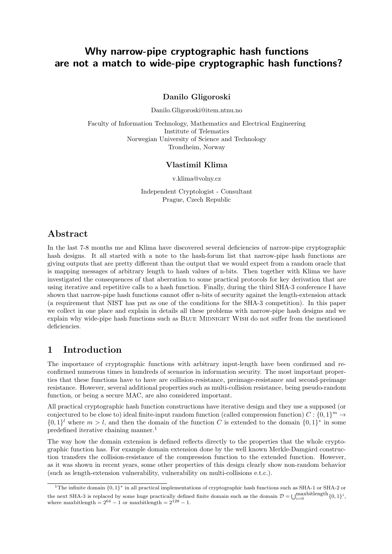# Why narrow-pipe cryptographic hash functions are not a match to wide-pipe cryptographic hash functions?

Danilo Gligoroski

Danilo.Gligoroski@item.ntnu.no

Faculty of Information Technology, Mathematics and Electrical Engineering Institute of Telematics Norwegian University of Science and Technology Trondheim, Norway

### Vlastimil Klima

v.klima@volny.cz

Independent Cryptologist - Consultant Prague, Czech Republic

# Abstract

In the last 7-8 months me and Klima have discovered several deficiencies of narrow-pipe cryptographic hash designs. It all started with a note to the hash-forum list that narrow-pipe hash functions are giving outputs that are pretty different than the output that we would expect from a random oracle that is mapping messages of arbitrary length to hash values of n-bits. Then together with Klima we have investigated the consequences of that aberration to some practical protocols for key derivation that are using iterative and repetitive calls to a hash function. Finally, during the third SHA-3 conference I have shown that narrow-pipe hash functions cannot offer n-bits of security against the length-extension attack (a requirement that NIST has put as one of the conditions for the SHA-3 competition). In this paper we collect in one place and explain in details all these problems with narrow-pipe hash designs and we explain why wide-pipe hash functions such as BLUE MIDNIGHT WISH do not suffer from the mentioned deficiencies.

# 1 Introduction

The importance of cryptographic functions with arbitrary input-length have been confirmed and reconfirmed numerous times in hundreds of scenarios in information security. The most important properties that these functions have to have are collision-resistance, preimage-resistance and second-preimage resistance. However, several additional properties such as multi-collision resistance, being pseudo-random function, or being a secure MAC, are also considered important.

All practical cryptographic hash function constructions have iterative design and they use a supposed (or conjectured to be close to) ideal finite-input random function (called compression function)  $C: \{0,1\}^m \to$  $\{0,1\}^l$  where  $m > l$ , and then the domain of the function C is extended to the domain  $\{0,1\}^*$  in some predefined iterative chaining manner.<sup>1</sup>

The way how the domain extension is defined reflects directly to the properties that the whole cryptographic function has. For example domain extension done by the well known Merkle-Damgård construction transfers the collision-resistance of the compression function to the extended function. However, as it was shown in recent years, some other properties of this design clearly show non-random behavior (such as length-extension vulnerability, vulnerability on multi-collisions e.t.c.).

<sup>&</sup>lt;sup>1</sup>The infinite domain  ${0, 1}^*$  in all practical implementations of cryptographic hash functions such as SHA-1 or SHA-2 or the next SHA-3 is replaced by some huge practically defined finite domain such as the domain  $\mathcal{D} = \bigcup_{i=0}^{\text{maxbitlength}} \{0, 1\}^i$ , where maxbitlength =  $2^{64} - 1$  or maxbitlength =  $2^{128} - 1$ .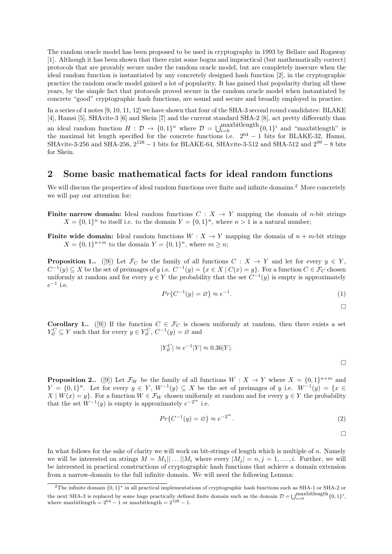The random oracle model has been proposed to be used in cryptography in 1993 by Bellare and Rogaway [1]. Although it has been shown that there exist some bogus and impractical (but mathematically correct) protocols that are provably secure under the random oracle model, but are completely insecure when the ideal random function is instantiated by any concretely designed hash function [2], in the cryptographic practice the random oracle model gained a lot of popularity. It has gained that popularity during all these years, by the simple fact that protocols proved secure in the random oracle model when instantiated by concrete "good" cryptographic hash functions, are sound and secure and broadly employed in practice.

In a series of 4 notes [9, 10, 11, 12] we have shown that four of the SHA-3 second round candidates: BLAKE [4], Hamsi [5], SHAvite-3 [6] and Skein [7] and the current standard SHA-2 [8], act pretty differently than an ideal random function  $H: \mathcal{D} \to \{0,1\}^n$  where  $\mathcal{D} = \bigcup_{i=0}^{\text{maxbitlength}} \{0,1\}^i$  and "maxbitlength" is the maximal bit length specified for the concrete functions i.e.  $2^{64} - 1$  bits for BLAKE-32, Hamsi, SHAvite-3-256 and SHA-256,  $2^{128} - 1$  bits for BLAKE-64, SHAvite-3-512 and SHA-512 and  $2^{99} - 8$  bits for Skein.

### 2 Some basic mathematical facts for ideal random functions

We will discuss the properties of ideal random functions over finite and infinite domains.<sup>2</sup> More concretely we will pay our attention for:

- **Finite narrow domain:** Ideal random functions  $C: X \rightarrow Y$  mapping the domain of *n*-bit strings  $X = \{0,1\}^n$  to itself i.e. to the domain  $Y = \{0,1\}^n$ , where  $n > 1$  is a natural number;
- Finite wide domain: Ideal random functions  $W: X \to Y$  mapping the domain of  $n + m$ -bit strings  $X = \{0, 1\}^{n+m}$  to the domain  $Y = \{0, 1\}^n$ , where  $m \ge n$ ;

**Proposition 1..** ([9]) Let  $\mathcal{F}_C$  be the family of all functions  $C : X \to Y$  and let for every  $y \in Y$ ,  $C^{-1}(y) \subseteq X$  be the set of preimages of y i.e.  $C^{-1}(y) = \{x \in X \mid C(x) = y\}$ . For a function  $C \in \mathcal{F}_C$  chosen uniformly at random and for every  $y \in Y$  the probability that the set  $C^{-1}(y)$  is empty is approximately  $e^{-1}$  i.e.

$$
Pr{C^{-1}(y) = \varnothing} \approx e^{-1}.
$$
\n<sup>(1)</sup>

 $\Box$ 

**Corollary 1..** ([9]) If the function  $C \in \mathcal{F}_C$  is chosen uniformly at random, then there exists a set  $Y_{\alpha}^C \subseteq Y$  such that for every  $y \in Y_{\alpha}^C$ ,  $C^{-1}(y) = \varnothing$  and

$$
|Y^C_{\varnothing}| \approx e^{-1}|Y| \approx 0.36|Y|.
$$

**Proposition 2..** ([9]) Let  $\mathcal{F}_W$  be the family of all functions  $W : X \to Y$  where  $X = \{0,1\}^{n+m}$  and  $Y = \{0,1\}^n$ . Let for every  $y \in Y$ ,  $W^{-1}(y) \subseteq X$  be the set of preimages of y i.e.  $W^{-1}(y) = \{x \in Y, y \in Y, y \in Y\}$  $X \mid W(x) = y$ . For a function  $W \in \mathcal{F}_W$  chosen uniformly at random and for every  $y \in Y$  the probability that the set  $\tilde{W}^{-1}(y)$  is empty is approximately  $e^{-2^m}$  i.e.

$$
Pr{C^{-1}(y) = \varnothing} \approx e^{-2^m}.
$$
\n(2)

$$
\Box
$$

In what follows for the sake of clarity we will work on bit-strings of length which is multiple of n. Namely we will be interested on strings  $M = M_1 || \dots || M_i$  where every  $|M_i| = n, j = 1, \dots, i$ . Further, we will be interested in practical constructions of cryptographic hash functions that achieve a domain extension from a narrow-domain to the full infinite domain. We will need the following Lemma:

<sup>&</sup>lt;sup>2</sup>The infinite domain  $\{0,1\}^*$  in all practical implementations of cryptographic hash functions such as SHA-1 or SHA-2 or the next SHA-3 is replaced by some huge practically defined finite domain such as the domain  $\mathcal{D} = \bigcup_{i=0}^{\text{maxbitlength}} \{0, 1\}^i$ , where maxbitlength =  $2^{64} - 1$  or maxbitlength =  $2^{128} - 1$ .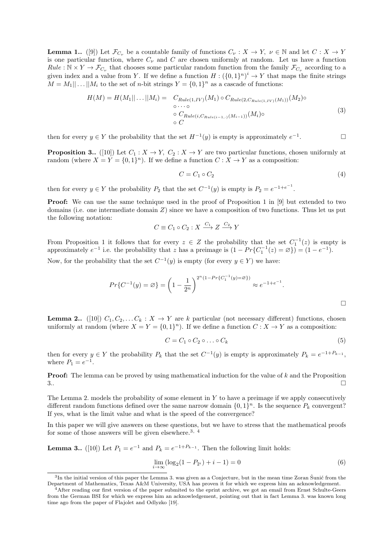**Lemma 1..** ([9]) Let  $\mathcal{F}_{C_{\nu}}$  be a countable family of functions  $C_{\nu}: X \to Y$ ,  $\nu \in \mathbb{N}$  and let  $C: X \to Y$ is one particular function, where  $C_{\nu}$  and C are chosen uniformly at random. Let us have a function  $Rule: \mathbb{N} \times Y \to \mathcal{F}_{C_{\nu}}$  that chooses some particular random function from the family  $\mathcal{F}_{C_{\nu}}$  according to a given index and a value from Y. If we define a function  $H: (\{0,1\}^n)^i \to Y$  that maps the finite strings  $M = M_1 || \dots || M_i$  to the set of *n*-bit strings  $Y = \{0, 1\}^n$  as a cascade of functions:

$$
H(M) = H(M_1 || \dots || M_i) = C_{Rule(1, IV)}(M_1) \circ C_{Rule(2, C_{Rule(1, IV)}(M_1))}(M_2) \circ \cdots \circ C_{Rule(i, C_{Rule(i-1, \cdot)}(M_{i-1}))}(M_i) \circ C
$$
\n(3)

then for every  $y \in Y$  the probability that the set  $H^{-1}(y)$  is empty is approximately  $e^{-1}$ . — П

**Proposition 3..** ([10]) Let  $C_1 : X \to Y$ ,  $C_2 : X \to Y$  are two particular functions, chosen uniformly at random (where  $X = Y = \{0, 1\}^n$ ). If we define a function  $C : X \to Y$  as a composition:

$$
C = C_1 \circ C_2 \tag{4}
$$

then for every  $y \in Y$  the probability  $P_2$  that the set  $C^{-1}(y)$  is empty is  $P_2 = e^{-1+e^{-1}}$ .

**Proof:** We can use the same technique used in the proof of Proposition 1 in [9] but extended to two domains (i.e. one intermediate domain Z) since we have a composition of two functions. Thus let us put the following notation:

$$
C \equiv C_1 \circ C_2 : X \xrightarrow{C_1} Z \xrightarrow{C_2} Y
$$

From Proposition 1 it follows that for every  $z \in Z$  the probability that the set  $C_1^{-1}(z)$  is empty is approximately  $e^{-1}$  i.e. the probability that z has a preimage is  $(1 - Pr{C_1^{-1}(z) = \varnothing}) = (1 - e^{-1})$ .

Now, for the probability that the set  $C^{-1}(y)$  is empty (for every  $y \in Y$ ) we have:

$$
Pr{C^{-1}(y) = \varnothing} = \left(1 - \frac{1}{2^n}\right)^{2^n(1 - Pr{C_1^{-1}(y) = \varnothing})} \approx e^{-1 + e^{-1}}.
$$

**Lemma 2..** ([10])  $C_1, C_2, \ldots C_k : X \to Y$  are k particular (not necessary different) functions, chosen uniformly at random (where  $X = Y = \{0,1\}^n$ ). If we define a function  $C: X \to Y$  as a composition:

$$
C = C_1 \circ C_2 \circ \dots \circ C_k \tag{5}
$$

then for every  $y \in Y$  the probability  $P_k$  that the set  $C^{-1}(y)$  is empty is approximately  $P_k = e^{-1+P_{k-1}}$ , where  $P_1 = e^{-1}$ .

**Proof:** The lemma can be proved by using mathematical induction for the value of  $k$  and the Proposition  $3.$ 

The Lemma 2. models the probability of some element in  $Y$  to have a preimage if we apply consecutively different random functions defined over the same narrow domain  $\{0,1\}^n$ . Is the sequence  $P_k$  convergent? If yes, what is the limit value and what is the speed of the convergence?

In this paper we will give answers on these questions, but we have to stress that the mathematical proofs for some of those answers will be given elsewhere.<sup>3, 4</sup>

**Lemma 3..** ([10]) Let  $P_1 = e^{-1}$  and  $P_k = e^{-1+P_{k-1}}$ . Then the following limit holds:

$$
\lim_{i \to \infty} (\log_2(1 - P_{2^i}) + i - 1) = 0
$$
\n(6)

 ${}^{3}$ In the initial version of this paper the Lemma 3. was given as a Conjecture, but in the mean time Zoran Šunić from the Department of Mathematics, Texas A&M University, USA has proven it for which we express him an acknowledgement.

<sup>4</sup>After reading our first version of the paper submited to the eprint archive, we got an email from Ernst Schulte-Geers from the German BSI for which we express him an acknowledgement, pointing out that in fact Lemma 3. was known long time ago from the paper of Flajolet and Odlyzko [19].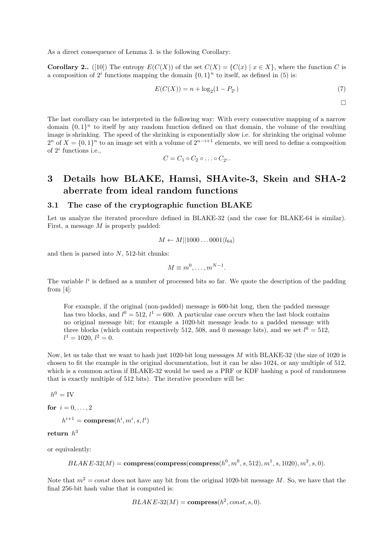As a direct consequence of Lemma 3. is the following Corollary:

**Corollary 2..** ([10]) The entropy  $E(C(X))$  of the set  $C(X) = \{C(x) | x \in X\}$ , where the function C is a composition of  $2^i$  functions mapping the domain  $\{0,1\}^n$  to itself, as defined in (5) is:

$$
E(C(X)) = n + \log_2(1 - P_{2^i})
$$
\n(7)

 $\Box$ 

The last corollary can be interpreted in the following way: With every consecutive mapping of a narrow domain  $\{0,1\}^n$  to itself by any random function defined on that domain, the volume of the resulting image is shrinking. The speed of the shrinking is exponentially slow i.e. for shrinking the original volume  $2^n$  of  $X = \{0,1\}^n$  to an image set with a volume of  $2^{n-i+1}$  elements, we will need to define a composition of  $2^i$  functions i.e.,

$$
C=C_1\circ C_2\circ\ldots\circ C_{2^i}.
$$

# 3 Details how BLAKE, Hamsi, SHAvite-3, Skein and SHA-2 aberrate from ideal random functions

### 3.1 The case of the cryptographic function BLAKE

Let us analyze the iterated procedure defined in BLAKE-32 (and the case for BLAKE-64 is similar). First, a message M is properly padded:

$$
M \leftarrow M||1000\dots0001\langle l_{64}\rangle
$$

and then is parsed into  $N$ , 512-bit chunks:

$$
M \equiv m^0, \dots, m^{N-1}.
$$

The variable  $l^i$  is defined as a number of processed bits so far. We quote the description of the padding from [4]:

For example, if the original (non-padded) message is 600-bit long, then the padded message has two blocks, and  $l^0 = 512$ ,  $l^1 = 600$ . A particular case occurs when the last block contains no original message bit; for example a 1020-bit message leads to a padded message with three blocks (which contain respectively 512, 508, and 0 message bits), and we set  $l^0 = 512$ ,  $l^1 = 1020, l^2 = 0.$ 

Now, let us take that we want to hash just 1020-bit long messages M with BLAKE-32 (the size of 1020 is chosen to fit the example in the original documentation, but it can be also 1024, or any multiple of 512, which is a common action if BLAKE-32 would be used as a PRF or KDF hashing a pool of randomness that is exactly multiple of 512 bits). The iterative procedure will be:

 $h^0 = \text{IV}$ 

for  $i = 0, ..., 2$  $h^{i+1} = \mathbf{compress}(h^i, m^i, s, l^i)$ 

#### ${\bf return}~~h^3$

or equivalently:

$$
BLAKE-32(M) = \text{compress}(\text{compress}(\text{compress}(h^0, m^0, s, 512), m^1, s, 1020), m^2, s, 0).
$$

Note that  $m^2 = const$  does not have any bit from the original 1020-bit message M. So, we have that the final 256-bit hash value that is computed is:

 $BLAKE-32(M) = \text{compress}(h^2, const, s, 0).$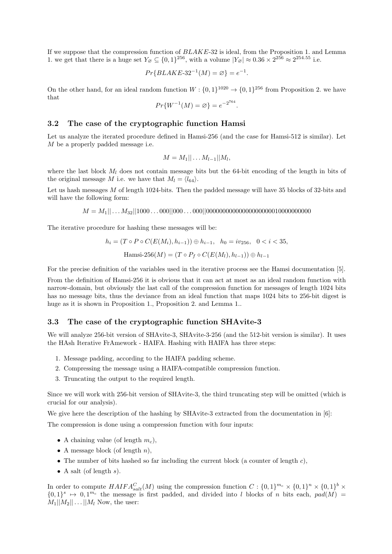If we suppose that the compression function of BLAKE-32 is ideal, from the Proposition 1. and Lemma 1. we get that there is a huge set  $Y_{\emptyset} \subseteq \{0,1\}^{256}$ , with a volume  $|Y_{\emptyset}| \approx 0.36 \times 2^{256} \approx 2^{254.55}$  i.e.

$$
Pr{BLAKE-32^{-1}(M) = \varnothing} = e^{-1}.
$$

On the other hand, for an ideal random function  $W: \{0,1\}^{1020} \to \{0,1\}^{256}$  from Proposition 2. we have that

$$
Pr\{W^{-1}(M) = \varnothing\} = e^{-2^{764}}.
$$

#### 3.2 The case of the cryptographic function Hamsi

Let us analyze the iterated procedure defined in Hamsi-256 (and the case for Hamsi-512 is similar). Let M be a properly padded message i.e.

$$
M = M_1 || \dots M_{l-1} || M_l,
$$

where the last block  $M_l$  does not contain message bits but the 64-bit encoding of the length in bits of the original message M i.e. we have that  $M_l = \langle l_{64} \rangle$ .

Let us hash messages M of length 1024-bits. Then the padded message will have 35 blocks of 32-bits and will have the following form:

M = M1|| . . . M32||1000 . . . 000||000 . . . 000||00000000000000000000010000000000

The iterative procedure for hashing these messages will be:

$$
h_i = (T \circ P \circ C(E(M_i), h_{i-1})) \oplus h_{i-1}, \quad h_0 = iv_{256}, \quad 0 < i < 35,
$$
  
Hamsi-256(M) =  $(T \circ P_f \circ C(E(M_l), h_{l-1})) \oplus h_{l-1}$ 

For the precise definition of the variables used in the iterative process see the Hamsi documentation [5].

From the definition of Hamsi-256 it is obvious that it can act at most as an ideal random function with narrow-domain, but obviously the last call of the compression function for messages of length 1024 bits has no message bits, thus the deviance from an ideal function that maps 1024 bits to 256-bit digest is huge as it is shown in Proposition 1., Proposition 2. and Lemma 1..

#### 3.3 The case of the cryptographic function SHAvite-3

We will analyze 256-bit version of SHAvite-3, SHAvite-3-256 (and the 512-bit version is similar). It uses the HAsh Iterative FrAmework - HAIFA. Hashing with HAIFA has three steps:

- 1. Message padding, according to the HAIFA padding scheme.
- 2. Compressing the message using a HAIFA-compatible compression function.
- 3. Truncating the output to the required length.

Since we will work with 256-bit version of SHAvite-3, the third truncating step will be omitted (which is crucial for our analysis).

We give here the description of the hashing by SHAvite-3 extracted from the documentation in [6]: The compression is done using a compression function with four inputs:

- A chaining value (of length  $m_c$ ),
- A message block (of length  $n$ ),
- The number of bits hashed so far including the current block (a counter of length  $c$ ),
- A salt (of length  $s$ ).

In order to compute  $HAIFA_{salt}^C(M)$  using the compression function  $C: \{0,1\}^{m_c} \times \{0,1\}^n \times \{0,1\}^b \times$  $\{0,1\}^s \mapsto 0,1^{m_c}$  the message is first padded, and divided into l blocks of n bits each,  $pad(M)$  $M_1||M_2|| \dots ||M_l$  Now, the user: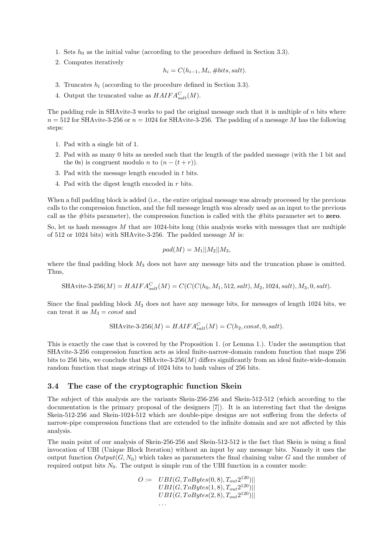- 1. Sets  $h_0$  as the initial value (according to the procedure defined in Section 3.3).
- 2. Computes iteratively

$$
h_i = C(h_{i-1}, M_i, \#bits, salt).
$$

- 3. Truncates  $h_l$  (according to the procedure defined in Section 3.3).
- 4. Output the truncated value as  $HAIFA_{salt}^{C}(M)$ .

The padding rule in SHAvite-3 works to pad the original message such that it is multiple of  $n$  bits where  $n = 512$  for SHAvite-3-256 or  $n = 1024$  for SHAvite-3-256. The padding of a message M has the following steps:

- 1. Pad with a single bit of 1.
- 2. Pad with as many 0 bits as needed such that the length of the padded message (with the 1 bit and the 0s) is congruent modulo *n* to  $(n - (t + r))$ .
- 3. Pad with the message length encoded in t bits.
- 4. Pad with the digest length encoded in r bits.

When a full padding block is added (i.e., the entire original message was already processed by the previous calls to the compression function, and the full message length was already used as an input to the previous call as the #bits parameter), the compression function is called with the #bits parameter set to zero.

So, let us hash messages  $M$  that are 1024-bits long (this analysis works with messages that are multiple of 512 or 1024 bits) with SHAvite-3-256. The padded message M is:

$$
pad(M) = M_1||M_2||M_3,
$$

where the final padding block  $M_3$  does not have any message bits and the truncation phase is omitted. Thus,

$$
SHAvite-3-256(M) = HAIFA_{salt}^{C}(M) = C(C(C(h_0, M_1, 512, salt), M_2, 1024, salt), M_3, 0, salt).
$$

Since the final padding block  $M_3$  does not have any message bits, for messages of length 1024 bits, we can treat it as  $M_3 = const$  and

$$
SHArite-3-256(M) = HAIFAsaltC(M) = C(h2, const, 0, salt).
$$

This is exactly the case that is covered by the Proposition 1. (or Lemma 1.). Under the assumption that SHAvite-3-256 compression function acts as ideal finite-narrow-domain random function that maps 256 bits to 256 bits, we conclude that SHAvite-3-256 $(M)$  differs significantly from an ideal finite-wide-domain random function that maps strings of 1024 bits to hash values of 256 bits.

#### 3.4 The case of the cryptographic function Skein

The subject of this analysis are the variants Skein-256-256 and Skein-512-512 (which according to the documentation is the primary proposal of the designers [7]). It is an interesting fact that the designs Skein-512-256 and Skein-1024-512 which are double-pipe designs are not suffering from the defects of narrow-pipe compression functions that are extended to the infinite domain and are not affected by this analysis.

The main point of our analysis of Skein-256-256 and Skein-512-512 is the fact that Skein is using a final invocation of UBI (Unique Block Iteration) without an input by any message bits. Namely it uses the output function  $Output(G, N_0)$  which takes as parameters the final chaining value G and the number of required output bits  $N_0$ . The output is simple run of the UBI function in a counter mode:

$$
O := \frac{UBI(G, ToBytes(0, 8), T_{out}2^{120})||}{UBI(G, ToBytes(1, 8), T_{out}2^{120})||}
$$
  
\n
$$
UBI(G, ToBytes(2, 8), T_{out}2^{120})||
$$
  
\n...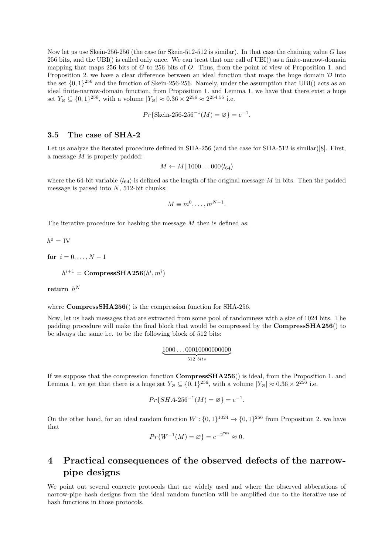Now let us use Skein-256-256 (the case for Skein-512-512 is similar). In that case the chaining value G has 256 bits, and the UBI() is called only once. We can treat that one call of UBI() as a finite-narrow-domain mapping that maps 256 bits of G to 256 bits of O. Thus, from the point of view of Proposition 1. and Proposition 2. we have a clear difference between an ideal function that maps the huge domain  $D$  into the set  $\{0,1\}^{256}$  and the function of Skein-256-256. Namely, under the assumption that UBI() acts as an ideal finite-narrow-domain function, from Proposition 1. and Lemma 1. we have that there exist a huge set  $Y_{\emptyset} \subseteq \{0,1\}^{256}$ , with a volume  $|Y_{\emptyset}| \approx 0.36 \times 2^{256} \approx 2^{254.55}$  i.e.

$$
Pr{Skein-256-256^{-1}(M) = \varnothing} = e^{-1}.
$$

### 3.5 The case of SHA-2

Let us analyze the iterated procedure defined in SHA-256 (and the case for SHA-512 is similar)[8]. First, a message M is properly padded:

$$
M \leftarrow M||1000\dots000\langle l_{64}\rangle
$$

where the 64-bit variable  $\langle l_{64} \rangle$  is defined as the length of the original message M in bits. Then the padded message is parsed into  $N$ , 512-bit chunks:

$$
M \equiv m^0, \dots, m^{N-1}.
$$

The iterative procedure for hashing the message M then is defined as:

$$
h^0 = \mathrm{IV}
$$

for  $i = 0, ..., N - 1$ 

$$
h^{i+1} = \mathbf{CompressSHA256}(h^i, m^i)
$$

 $\mathbf{return} \ \ h^N$ 

where **CompressSHA256**() is the compression function for SHA-256.

Now, let us hash messages that are extracted from some pool of randomness with a size of 1024 bits. The padding procedure will make the final block that would be compressed by the **CompressSHA256**() to be always the same i.e. to be the following block of 512 bits:

$$
\underbrace{1000\ldots00010000000000}_{512 \ bits}
$$

If we suppose that the compression function CompressSHA256() is ideal, from the Proposition 1. and Lemma 1. we get that there is a huge set  $Y_{\varnothing} \subseteq \{0,1\}^{256}$ , with a volume  $|Y_{\varnothing}| \approx 0.36 \times 2^{256}$  i.e.

$$
Pr{SHA-256^{-1}(M) = \varnothing} = e^{-1}.
$$

On the other hand, for an ideal random function  $W: \{0,1\}^{1024} \to \{0,1\}^{256}$  from Proposition 2. we have that

$$
Pr\{W^{-1}(M) = \varnothing\} = e^{-2^{768}} \approx 0.
$$

# 4 Practical consequences of the observed defects of the narrowpipe designs

We point out several concrete protocols that are widely used and where the observed abberations of narrow-pipe hash designs from the ideal random function will be amplified due to the iterative use of hash functions in those protocols.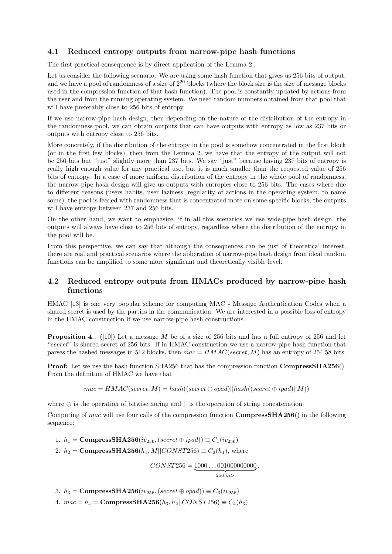### 4.1 Reduced entropy outputs from narrow-pipe hash functions

The first practical consequence is by direct application of the Lemma 2..

Let us consider the following scenario: We are using some hash function that gives us 256 bits of output, and we have a pool of randomness of a size of  $2^{20}$  blocks (where the block size is the size of message blocks used in the compression function of that hash function). The pool is constantly updated by actions from the user and from the running operating system. We need random numbers obtained from that pool that will have preferably close to 256 bits of entropy.

If we use narrow-pipe hash design, then depending on the nature of the distribution of the entropy in the randomness pool, we can obtain outputs that can have outputs with entropy as low as 237 bits or outputs with entropy close to 256 bits.

More concretely, if the distribution of the entropy in the pool is somehow concentrated in the first block (or in the first few blocks), then from the Lemma 2. we have that the entropy of the output will not be 256 bits but "just" slightly more than 237 bits. We say "just" because having 237 bits of entropy is really high enough value for any practical use, but it is much smaller than the requested value of 256 bits of entropy. In a case of more uniform distribution of the entropy in the whole pool of randomness, the narrow-pipe hash design will give us outputs with entropies close to 256 bits. The cases where due to different reasons (users habits, user laziness, regularity of actions in the operating system, to name some), the pool is feeded with randomness that is concentrated more on some specific blocks, the outputs will have entropy between 237 and 256 bits.

On the other hand, we want to emphasize, if in all this scenarios we use wide-pipe hash design, the outputs will always have close to 256 bits of entropy, regardless where the distribution of the entropy in the pool will be.

From this perspective, we can say that although the consequences can be just of theoretical interest, there are real and practical scenarios where the abberation of narrow-pipe hash design from ideal random functions can be amplified to some more significant and theoretically visible level.

### 4.2 Reduced entropy outputs from HMACs produced by narrow-pipe hash functions

HMAC [13] is one very popular scheme for computing MAC - Message Authentication Codes when a shared secret is used by the parties in the communication. We are interested in a possible loss of entropy in the HMAC construction if we use narrow-pipe hash constructions.

**Proposition 4..** ([10]) Let a message  $M$  be of a size of 256 bits and has a full entropy of 256 and let "secret" is shared secret of 256 bits. If in HMAC construction we use a narrow-pipe hash function that parses the hashed messages in 512 blocks, then  $mac = HMAC(secret, M)$  has an entropy of 254.58 bits.

Proof: Let we use the hash function SHA256 that has the compression function CompressSHA256(). From the definition of HMAC we have that

 $mac = HMAC(secret, M) = hash((secret \oplus opad)||hash((secret \oplus ipad)||M))$ 

where  $\oplus$  is the operation of bitwise xoring and  $\parallel$  is the operation of string concatenation.

Computing of mac will use four calls of the compression function **Compress**SHA256() in the following sequence:

1.  $h_1 = \text{CompressSHA256}(iv_{256},(secret \oplus ipad)) \equiv C_1(iv_{256})$ 

2.  $h_2 = \text{CompressSHA256}(h_1, M||CONST256) \equiv C_2(h_1)$ , where

 $CONST256 = 1000...001000000000$  ${256}~bits$ .

3.  $h_3 = \text{CompressSHA256}(iv_{256},(secret \oplus opad)) \equiv C_3(iv_{256})$ 

4.  $mac = h_4 = \text{CompressSHA256}(h_3, h_2||CONST256) \equiv C_4(h_3)$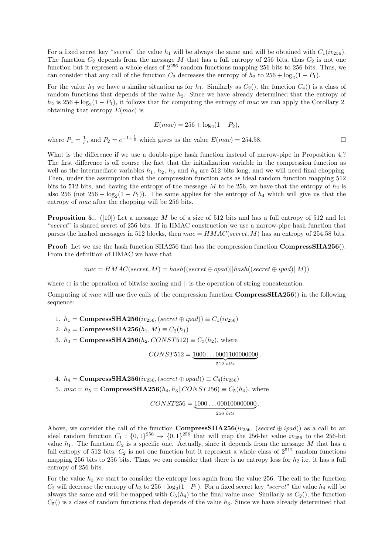For a fixed secret key "secret" the value  $h_1$  will be always the same and will be obtained with  $C_1(iv_{256})$ . The function  $C_2$  depends from the message M that has a full entropy of 256 bits, thus  $C_2$  is not one function but it represent a whole class of  $2^{256}$  random functions mapping 256 bits to 256 bits. Thus, we can consider that any call of the function  $C_2$  decreases the entropy of  $h_2$  to  $256 + \log_2(1 - P_1)$ .

For the value  $h_3$  we have a similar situation as for  $h_1$ . Similarly as  $C_2()$ , the function  $C_4()$  is a class of random functions that depends of the value  $h_2$ . Since we have already determined that the entropy of  $h_2$  is  $256 + \log_2(1 - P_1)$ , it follows that for computing the entropy of mac we can apply the Corollary 2. obtaining that entropy  $E(mac)$  is

$$
E(mac) = 256 + \log_2(1 - P_2),
$$

where  $P_1 = \frac{1}{e}$ , and  $P_2 = e^{-1 + \frac{1}{e}}$  which gives us the value  $E(max) = 254.58$ .

What is the difference if we use a double-pipe hash function instead of narrow-pipe in Proposition 4.? The first difference is off course the fact that the initialization variable in the compression function as well as the intermediate variables  $h_1$ ,  $h_2$ ,  $h_3$  and  $h_4$  are 512 bits long, and we will need final chopping. Then, under the assumption that the compression function acts as ideal random function mapping 512 bits to 512 bits, and having the entropy of the message M to be 256, we have that the entropy of  $h_2$  is also 256 (not  $256 + \log_2(1 - P_1)$ ). The same applies for the entropy of  $h_4$  which will give us that the entropy of mac after the chopping will be 256 bits.

**Proposition 5..** ([10]) Let a message M be of a size of 512 bits and has a full entropy of 512 and let "secret" is shared secret of 256 bits. If in HMAC construction we use a narrow-pipe hash function that parses the hashed messages in 512 blocks, then  $mac = HMAC(secret, M)$  has an entropy of 254.58 bits.

**Proof:** Let we use the hash function SHA256 that has the compression function **CompressSHA256**(). From the definition of HMAC we have that

$$
mac = HMAC(secret, M) = hash((secret \oplus opad)||hash((secret \oplus ipad)||M))
$$

where  $\oplus$  is the operation of bitwise xoring and  $\parallel$  is the operation of string concatenation.

Computing of mac will use five calls of the compression function **Compress**SHA256() in the following sequence:

1.  $h_1 = \text{CompressSHA256}(iv_{256}, (secret \oplus ipad)) \equiv C_1(iv_{256})$ 

2.  $h_2 = \text{CompressSHA256}(h_1, M) \equiv C_2(h_1)$ 

3.  $h_3 = \text{CompressSHA256}(h_2, \text{CONST512}) \equiv C_3(h_2)$ , where

$$
CONST512 = \underbrace{1000\ldots 0001100000000}_{512 \; bits}.
$$

- 4.  $h_4 = \text{CompressSHA256}(iv_{256}, (secret \oplus opad)) \equiv C_4(iv_{256})$
- 5.  $mac = h_5 = \text{CompressSHA256}(h_4, h_3||CONST256) \equiv C_5(h_4)$ , where

$$
CONST256 = \underbrace{1000\dots000100000000}_{256 \; bits}.
$$

Above, we consider the call of the function **CompressSHA256**( $iv_{256}$ , (secret  $\oplus$  ipad)) as a call to an ideal random function  $C_1: \{0,1\}^{256} \rightarrow \{0,1\}^{256}$  that will map the 256-bit value  $iv_{256}$  to the 256-bit value  $h_1$ . The function  $C_2$  is a specific one. Actually, since it depends from the message M that has a full entropy of 512 bits,  $C_2$  is not one function but it represent a whole class of  $2^{512}$  random functions mapping 256 bits to 256 bits. Thus, we can consider that there is no entropy loss for  $h_2$  i.e. it has a full entropy of 256 bits.

For the value  $h_3$  we start to consider the entropy loss again from the value 256. The call to the function  $C_3$  will decrease the entropy of  $h_3$  to  $256 + \log_2(1-P_1)$ . For a fixed secret key "secret" the value  $h_4$  will be always the same and will be mapped with  $C_5(h_4)$  to the final value mac. Similarly as  $C_2($ , the function  $C_5$ () is a class of random functions that depends of the value  $h_3$ . Since we have already determined that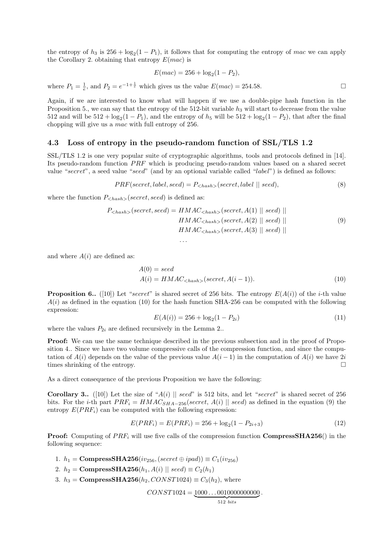the entropy of  $h_3$  is  $256 + \log_2(1 - P_1)$ , it follows that for computing the entropy of mac we can apply the Corollary 2. obtaining that entropy  $E(mac)$  is

$$
E(mac) = 256 + \log_2(1 - P_2),
$$

where  $P_1 = \frac{1}{e}$ , and  $P_2 = e^{-1 + \frac{1}{e}}$  which gives us the value  $E(max) = 254.58$ .

Again, if we are interested to know what will happen if we use a double-pipe hash function in the Proposition 5., we can say that the entropy of the 512-bit variable  $h_3$  will start to decrease from the value 512 and will be  $512 + \log_2(1 - P_1)$ , and the entropy of  $h_5$  will be  $512 + \log_2(1 - P_2)$ , that after the final chopping will give us a mac with full entropy of 256.

### 4.3 Loss of entropy in the pseudo-random function of SSL/TLS 1.2

. . .

SSL/TLS 1.2 is one very popular suite of cryptographic algorithms, tools and protocols defined in [14]. Its pseudo-random function  $PRF$  which is producing pseudo-random values based on a shared secret value "secret", a seed value "seed" (and by an optional variable called "label") is defined as follows:

$$
PRF(\text{secret}, \text{label}, \text{seed}) = P_{\langle \text{hash} \rangle}(\text{secret}, \text{label} \parallel \text{seed}), \tag{8}
$$

where the function  $P_{\leq hash>}(secret, seed)$  is defined as:

$$
P_{\langle hash \rangle}(secret, seed) = HMAC_{\langle hash \rangle}(secret, A(1) || seed) ||
$$
  
\n
$$
HMAC_{\langle hash \rangle}(secret, A(2) || seed) ||
$$
  
\n
$$
HMAC_{\langle hash \rangle}(secret, A(3) || seed) ||
$$
\n(9)

and where  $A(i)$  are defined as:

$$
A(0) = seed
$$
  
\n
$$
A(i) = HMAC_{\langle hash \rangle} (secret, A(i-1)).
$$
\n(10)

**Proposition 6..** ([10]) Let "secret" is shared secret of 256 bits. The entropy  $E(A(i))$  of the *i*-th value  $A(i)$  as defined in the equation (10) for the hash function SHA-256 can be computed with the following expression:

$$
E(A(i)) = 256 + \log_2(1 - P_{2i})
$$
\n(11)

where the values  $P_{2i}$  are defined recursively in the Lemma 2..

Proof: We can use the same technique described in the previous subsection and in the proof of Proposition 4.. Since we have two volume compressive calls of the compression function, and since the computation of  $A(i)$  depends on the value of the previous value  $A(i - 1)$  in the computation of  $A(i)$  we have 2i times shrinking of the entropy.

As a direct consequence of the previous Proposition we have the following:

Corollary 3.. ([10]) Let the size of "A(i) || seed" is 512 bits, and let "secret" is shared secret of 256 bits. For the *i*-th part  $PRF_i = HMAC_{SHA-256}$  (secret,  $A(i)$  || seed) as defined in the equation (9) the entropy  $E(PRF_i)$  can be computed with the following expression:

$$
E(PRF_i) = E(PRF_i) = 256 + \log_2(1 - P_{2i+3})
$$
\n(12)

**Proof:** Computing of  $PRF_i$  will use five calls of the compression function **CompressSHA256**() in the following sequence:

1.  $h_1 = \text{CompressSHA256}(iv_{256},(secret \oplus ipad)) \equiv C_1(iv_{256})$ 

2.  $h_2 = \text{CompressSHA256}(h_1, A(i) \parallel seed) \equiv C_2(h_1)$ 

3.  $h_3 = \text{CompressSHA256}(h_2, \text{CONST1024}) \equiv C_3(h_2)$ , where

 $CONST1024 = 1000...0010000000000$ .

$$
512 bits
$$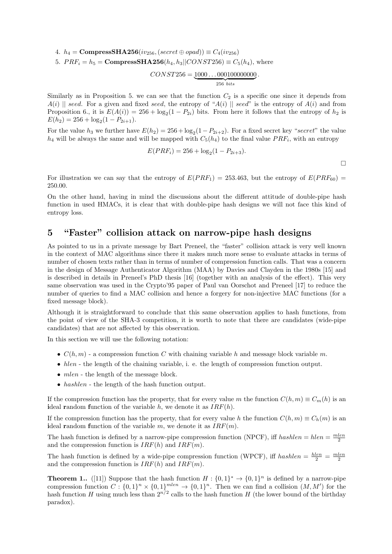4.  $h_4 = \text{CompressSHA256}(iv_{256}, (secret \oplus opad)) \equiv C_4(iv_{256})$ 

5.  $PRF_i = h_5 = \text{CompressSHA256}(h_4, h_3||CONST256) \equiv C_5(h_4)$ , where

$$
CONST256 = \underbrace{1000\dots000100000000}_{256 \ bits}.
$$

Similarly as in Proposition 5. we can see that the function  $C_2$  is a specific one since it depends from  $A(i)$  || seed. For a given and fixed seed, the entropy of "A(i) || seed" is the entropy of A(i) and from Proposition 6., it is  $E(A(i)) = 256 + \log_2(1 - P_{2i})$  bits. From here it follows that the entropy of  $h_2$  is  $E(h_2) = 256 + \log_2(1 - P_{2i+1}).$ 

For the value  $h_3$  we further have  $E(h_2) = 256 + \log_2(1 - P_{2i+2})$ . For a fixed secret key "secret" the value  $h_4$  will be always the same and will be mapped with  $C_5(h_4)$  to the final value  $PRF_i$ , with an entropy

$$
E(PRF_i) = 256 + \log_2(1 - P_{2i+3}).
$$

 $\Box$ 

For illustration we can say that the entropy of  $E(PRF_1) = 253.463$ , but the entropy of  $E(PRF_{60}) =$ 250.00.

On the other hand, having in mind the discussions about the different attitude of double-pipe hash function in used HMACs, it is clear that with double-pipe hash designs we will not face this kind of entropy loss.

# 5 "Faster" collision attack on narrow-pipe hash designs

As pointed to us in a private message by Bart Preneel, the "faster" collision attack is very well known in the context of MAC algorithms since there it makes much more sense to evaluate attacks in terms of number of chosen texts rather than in terms of number of compression function calls. That was a concern in the design of Message Authenticator Algorithm (MAA) by Davies and Clayden in the 1980s [15] and is described in details in Preneel's PhD thesis [16] (together with an analysis of the effect). This very same observation was used in the Crypto'95 paper of Paul van Oorschot and Preneel [17] to reduce the number of queries to find a MAC collision and hence a forgery for non-injective MAC functions (for a fixed message block).

Although it is straightforward to conclude that this same observation applies to hash functions, from the point of view of the SHA-3 competition, it is worth to note that there are candidates (wide-pipe candidates) that are not affected by this observation.

In this section we will use the following notation:

- $C(h, m)$  a compression function C with chaining variable h and message block variable m.
- $\bullet$  *hlen* the length of the chaining variable, i. e. the length of compression function output.
- $\bullet$  *mlen* the length of the message block.
- hashlen the length of the hash function output.

If the compression function has the property, that for every value m the function  $C(h, m) \equiv C_m(h)$  is an ideal random function of the variable h, we denote it as  $IRF(h)$ .

If the compression function has the property, that for every value h the function  $C(h, m) \equiv C_h(m)$  is an ideal random function of the variable m, we denote it as  $IRF(m)$ .

The hash function is defined by a narrow-pipe compression function (NPCF), iff  $hashlen = hlen = \frac{mlen}{2}$ and the compression function is  $IRF(h)$  and  $IRF(m)$ .

The hash function is defined by a wide-pipe compression function (WPCF), iff  $hashlen = \frac{hlen}{2} = \frac{mlen}{2}$ and the compression function is  $IRF(h)$  and  $IRF(m)$ .

**Theorem 1..** ([11]) Suppose that the hash function  $H: \{0,1\}^* \to \{0,1\}^n$  is defined by a narrow-pipe compression function  $C: \{0,1\}^n \times \{0,1\}^{mlen} \rightarrow \{0,1\}^n$ . Then we can find a collision  $(M, M')$  for the hash function H using much less than  $2^{n/2}$  calls to the hash function H (the lower bound of the birthday paradox).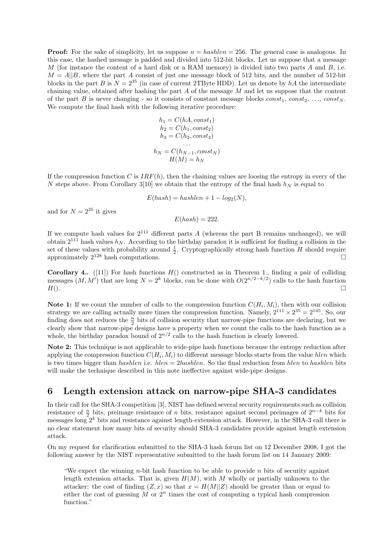**Proof:** For the sake of simplicity, let us suppose  $n = hashlen = 256$ . The general case is analogous. In this case, the hashed message is padded and divided into 512-bit blocks. Let us suppose that a message  $M$  (for instance the content of a hard disk or a RAM memory) is divided into two parts  $A$  and  $B$ , i.e.  $M = A||B$ , where the part A consist of just one message block of 512 bits, and the number of 512-bit blocks in the part B is  $N = 2^{35}$  (in case of current 2TByte HDD). Let us denote by hA the intermediate chaining value, obtained after hashing the part  $A$  of the message  $M$  and let us suppose that the content of the part B is never changing - so it consists of constant message blocks  $const_1$ ,  $const_2$ , ...,  $const_N$ . We compute the final hash with the following iterative procedure:

$$
h_1 = C(hA, const_1)
$$
  
\n
$$
h_2 = C(h_1, const_2)
$$
  
\n
$$
h_3 = C(h_2, const_3)
$$
  
\n...  
\n
$$
h_N = C(h_{N-1}, const_N)
$$
  
\n
$$
H(M) = h_N
$$

If the compression function C is  $IRF(h)$ , then the chaining values are loosing the entropy in every of the N steps above. From Corollary 3[10] we obtain that the entropy of the final hash  $h_N$  is equal to

$$
E(hash) = hashlen + 1 - log2(N),
$$

and for  $N = 2^{35}$  it gives

$$
E(hash) = 222.
$$

If we compute hash values for  $2^{111}$  different parts A (whereas the part B remains unchanged), we will obtain  $2^{111}$  hash values  $h_N$ . According to the birthday paradox it is sufficient for finding a collision in the set of these values with probability around  $\frac{1}{2}$ . Cryptographically strong hash function H should require approximately  $2^{128}$  hash computations.

**Corollary 4..** ([11]) For hash functions  $H($ ) constructed as in Theorem 1., finding a pair of colliding messages  $(M, M')$  that are long  $N = 2<sup>k</sup>$  blocks, can be done with  $O(2^{n/2-k/2})$  calls to the hash function  $H()$ .

Note 1: If we count the number of calls to the compression function  $C(H_i, M_i)$ , then with our collision strategy we are calling actually more times the compression function. Namely,  $2^{111} \times 2^{35} = 2^{145}$ . So, our finding does not reduces the  $\frac{n}{2}$  bits of collision security that narrow-pipe functions are declaring, but we clearly show that narrow-pipe designs have a property when we count the calls to the hash function as a whole, the birthday paradox bound of  $2^{n/2}$  calls to the hash function is clearly lowered.

Note 2: This technique is not applicable to wide-pipe hash functions because the entropy reduction after applying the compression function  $C(H_i, M_i)$  to different message blocks starts from the value hlen which is two times bigger than *hashlen* i.e.  $hlen = 2hashlen$ . So the final reduction from *hlen* to hashlen bits will make the technique described in this note ineffective against wide-pipe designs.

# 6 Length extension attack on narrow-pipe SHA-3 candidates

In their call for the SHA-3 competition [3], NIST has defined several security requirements such as collision resistance of  $\frac{n}{2}$  bits, preimage resistance of n bits, resistance against second preimages of  $2^{n-k}$  bits for messages long  $2^k$  bits and resistance against length-extension attack. However, in the SHA-3 call there is no clear statement how many bits of security should SHA-3 candidates provide against length extension attack.

On my request for clarification submitted to the SHA-3 hash forum list on 12 December 2008, I got the following answer by the NIST representative submitted to the hash forum list on 14 January 2009:

"We expect the winning  $n$ -bit hash function to be able to provide  $n$  bits of security against length extension attacks. That is, given  $H(M)$ , with M wholly or partially unknown to the attacker: the cost of finding  $(Z, x)$  so that  $x = H(M||Z)$  should be greater than or equal to either the cost of guessing M or  $2^n$  times the cost of computing a typical hash compression function."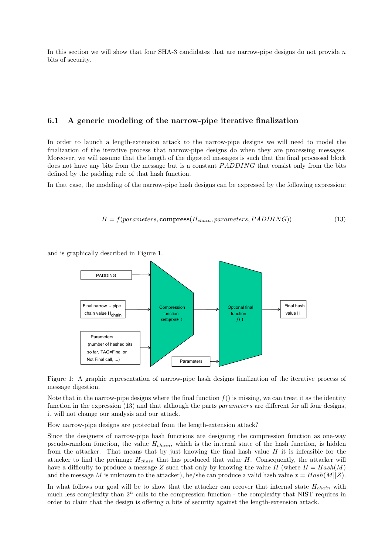In this section we will show that four SHA-3 candidates that are narrow-pipe designs do not provide  $n$ bits of security.

#### 6.1 A generic modeling of the narrow-pipe iterative finalization

In order to launch a length-extension attack to the narrow-pipe designs we will need to model the finalization of the iterative process that narrow-pipe designs do when they are processing messages. Moreover, we will assume that the length of the digested messages is such that the final processed block does not have any bits from the message but is a constant *PADDING* that consist only from the bits defined by the padding rule of that hash function.

In that case, the modeling of the narrow-pipe hash designs can be expressed by the following expression:

$$
H = f(parameters, \text{compress}(H_{chain}, parameters, PADDING))
$$
\n(13)

and is graphically described in Figure 1.



Figure 1: A graphic representation of narrow-pipe hash designs finalization of the iterative process of message digestion.

Note that in the narrow-pipe designs where the final function  $f()$  is missing, we can treat it as the identity function in the expression (13) and that although the parts parameters are different for all four designs, it will not change our analysis and our attack.

How narrow-pipe designs are protected from the length-extension attack?

Since the designers of narrow-pipe hash functions are designing the compression function as one-way pseudo-random function, the value  $H_{chain}$ , which is the internal state of the hash function, is hidden from the attacker. That means that by just knowing the final hash value  $H$  it is infeasible for the attacker to find the preimage  $H_{chain}$  that has produced that value H. Consequently, the attacker will have a difficulty to produce a message Z such that only by knowing the value H (where  $H = Hash(M)$ ) and the message M is unknown to the attacker), he/she can produce a valid hash value  $x = Hash(M||Z)$ .

In what follows our goal will be to show that the attacker can recover that internal state  $H_{chain}$  with much less complexity than  $2^n$  calls to the compression function - the complexity that NIST requires in order to claim that the design is offering n bits of security against the length-extension attack.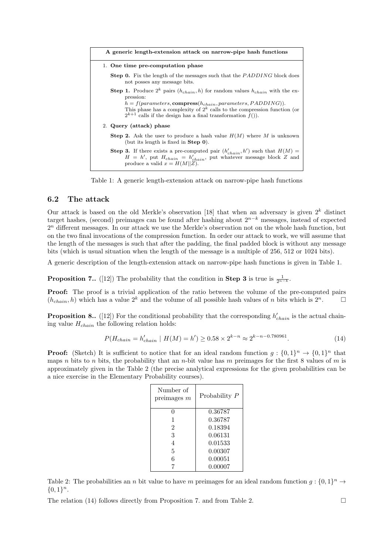| A generic length-extension attack on narrow-pipe hash functions                                                                                                                                                                                                                                                                 |
|---------------------------------------------------------------------------------------------------------------------------------------------------------------------------------------------------------------------------------------------------------------------------------------------------------------------------------|
| 1. One time pre-computation phase                                                                                                                                                                                                                                                                                               |
| <b>Step 0.</b> Fix the length of the messages such that the <i>PADDING</i> block does<br>not posses any message bits.                                                                                                                                                                                                           |
| <b>Step 1.</b> Produce $2^k$ pairs $(h_{chain}, h)$ for random values $h_{chain}$ with the ex-<br>pression:<br>$h = f(parameters, compress(h_{chain}, parameters, PADDING)).$<br>This phase has a complexity of $2^k$ calls to the compression function (or<br>$2^{k+1}$ calls if the design has a final transformation $f()$ . |
| 2. Query (attack) phase                                                                                                                                                                                                                                                                                                         |
| <b>Step 2.</b> Ask the user to produce a hash value $H(M)$ where M is unknown<br>(but its length is fixed in $Step 0$ ).                                                                                                                                                                                                        |
| <b>Step 3.</b> If there exists a pre-computed pair $(h'_{chain}, h')$ such that $H(M)$ =<br>$H = h'$ , put $H_{chain} = h'_{chain}$ , put whatever message block Z and<br>produce a valid $x = H(M  Z)$ .                                                                                                                       |

Table 1: A generic length-extension attack on narrow-pipe hash functions

### 6.2 The attack

Our attack is based on the old Merkle's observation [18] that when an adversary is given  $2^k$  distinct target hashes, (second) preimages can be found after hashing about  $2^{n-k}$  messages, instead of expected  $2<sup>n</sup>$  different messages. In our attack we use the Merkle's observation not on the whole hash function, but on the two final invocations of the compression function. In order our attack to work, we will assume that the length of the messages is such that after the padding, the final padded block is without any message bits (which is usual situation when the length of the message is a multiple of 256, 512 or 1024 bits).

A generic description of the length-extension attack on narrow-pipe hash functions is given in Table 1.

**Proposition 7..** ([12]) The probability that the condition in **Step 3** is true is  $\frac{1}{2^{n-k}}$ .

Proof: The proof is a trivial application of the ratio between the volume of the pre-computed pairs  $(h_{chain}, h)$  which has a value  $2^k$  and the volume of all possible hash values of n bits which is  $2^n$ .

**Proposition 8..** ([12]) For the conditional probability that the corresponding  $h'_{chain}$  is the actual chaining value  $H_{chain}$  the following relation holds:

$$
P(H_{chain} = h'_{chain} \mid H(M) = h') \ge 0.58 \times 2^{k-n} \approx 2^{k-n-0.780961}.
$$
 (14)

**Proof:** (Sketch) It is sufficient to notice that for an ideal random function  $g: \{0,1\}^n \to \{0,1\}^n$  that maps n bits to n bits, the probability that an n-bit value has m preimages for the first 8 values of m is approximately given in the Table 2 (the precise analytical expressions for the given probabilities can be a nice exercise in the Elementary Probability courses).

| Number of<br>preimages $m$ | Probability P |
|----------------------------|---------------|
| 0                          | 0.36787       |
| 1                          | 0.36787       |
| $\overline{2}$             | 0.18394       |
| 3                          | 0.06131       |
| 4                          | 0.01533       |
| 5                          | 0.00307       |
| 6                          | 0.00051       |
|                            | 0.00007       |

Table 2: The probabilities an *n* bit value to have *m* preimages for an ideal random function  $g: \{0,1\}^n \to$  ${0,1}<sup>n</sup>$ .

The relation (14) follows directly from Proposition 7. and from Table 2.  $\Box$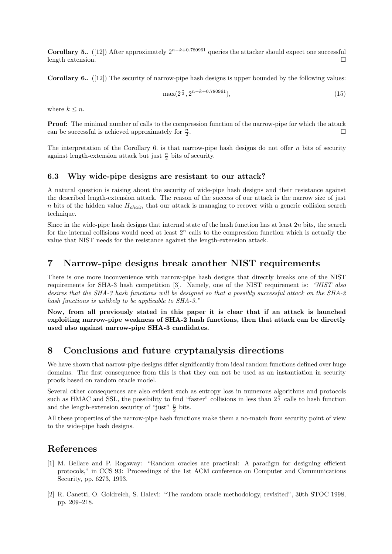**Corollary 5..** ([12]) After approximately  $2^{n-k+0.780961}$  queries the attacker should expect one successful length extension.

Corollary 6.. ([12]) The security of narrow-pipe hash designs is upper bounded by the following values:

$$
\max(2^{\frac{n}{2}}, 2^{n-k+0.780961}),\tag{15}
$$

where  $k \leq n$ .

Proof: The minimal number of calls to the compression function of the narrow-pipe for which the attack can be successful is achieved approximately for  $\frac{n}{2}$ .

The interpretation of the Corollary  $6.$  is that narrow-pipe hash designs do not offer  $n$  bits of security against length-extension attack but just  $\frac{n}{2}$  bits of security.

### 6.3 Why wide-pipe designs are resistant to our attack?

A natural question is raising about the security of wide-pipe hash designs and their resistance against the described length-extension attack. The reason of the success of our attack is the narrow size of just n bits of the hidden value  $H_{chain}$  that our attack is managing to recover with a generic collision search technique.

Since in the wide-pipe hash designs that internal state of the hash function has at least  $2n$  bits, the search for the internal collisions would need at least  $2<sup>n</sup>$  calls to the compression function which is actually the value that NIST needs for the resistance against the length-extension attack.

### 7 Narrow-pipe designs break another NIST requirements

There is one more inconvenience with narrow-pipe hash designs that directly breaks one of the NIST requirements for SHA-3 hash competition [3]. Namely, one of the NIST requirement is: "NIST also desires that the SHA-3 hash functions will be designed so that a possibly successful attack on the SHA-2 hash functions is unlikely to be applicable to SHA-3."

Now, from all previously stated in this paper it is clear that if an attack is launched exploiting narrow-pipe weakness of SHA-2 hash functions, then that attack can be directly used also against narrow-pipe SHA-3 candidates.

# 8 Conclusions and future cryptanalysis directions

We have shown that narrow-pipe designs differ significantly from ideal random functions defined over huge domains. The first consequence from this is that they can not be used as an instantiation in security proofs based on random oracle model.

Several other consequences are also evident such as entropy loss in numerous algorithms and protocols such as HMAC and SSL, the possibility to find "faster" collisions in less than  $2^{\frac{n}{2}}$  calls to hash function and the length-extension security of "just"  $\frac{n}{2}$  bits.

All these properties of the narrow-pipe hash functions make them a no-match from security point of view to the wide-pipe hash designs.

### References

- [1] M. Bellare and P. Rogaway: "Random oracles are practical: A paradigm for designing efficient protocols," in CCS 93: Proceedings of the 1st ACM conference on Computer and Communications Security, pp. 6273, 1993.
- [2] R. Canetti, O. Goldreich, S. Halevi: "The random oracle methodology, revisited", 30th STOC 1998, pp. 209–218.